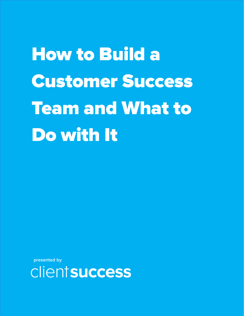How to Build a Customer Success Team and What to Do with It

**presented by** 

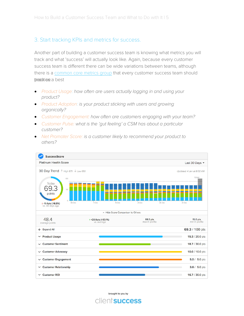#### 3. Start tracking KPIs and metrics for success.

Another part of building a customer success team is knowing what metrics you will track and what 'success' will actually look like. Again, because every customer success team is different there can be wide variations between teams, although there is a [common core metr](https://www.clientsuccess.com/blog/top-5-saas-customer-success-health-metrics-and-5-runner-ups/)ics group that every customer success team should trackties: a best

- Product Usage: how often are users actually logging in and using your product?
- Product Adoption: is your product sticking with users and growing organically?
- Customer Engagement: how often are customers engaging with your team?
- Customer Pulse: what is the 'gut feeling' a CSM has about a particular customer?
- Net Promoter Score: is a [customer likely to recommend your product to](https://www.clientsuccess.com) others?



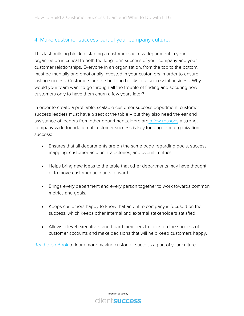#### 4. Make customer success part of your company culture.

This last building block of starting a customer success department in your organization is critical to both the long-term success of your company and your customer relationships. Everyone in an organization, from the top to the bottom, must be mentally and emotionally invested in your customers in order to ensure lasting success. Customers are the building blocks of a successful business. Why would your team want to go through all the trouble of finding and securing new customers only to have them churn a few years later?

In order to create a profitable, scalable customer success department, customer success leaders must have a seat at the table – but they also need the ear and assistance of leaders from other departments. Here are a few [reasons](https://www.clientsuccess.com/blog/why-customer-success-is-imperative-for-company-culture/) a strong, company-wide foundation of customer success is key for long-term organization success:

- Ensures that all departments are on the same page regarding goals, success mapping, customer account trajectories, and overall metrics.
- Helps bring new ideas to the table that other departments may have thought of to move customer accounts forward.
- Brings every department and every person together to work towards common metrics and goals.
- Keeps customers happy to know that an entire company is focused on their success, which keeps other internal and external stakeholders satisfied.
- Allows c-level executives and board members to focus on the success of customer accounts and make decisions that will help keep customers happy.

Read [this eBook](https://www.clientsuccess.com/ebooks/customer-success-as-a-culture-customer-success-leaders-edition/) to learn more making customer success a part of your culture.



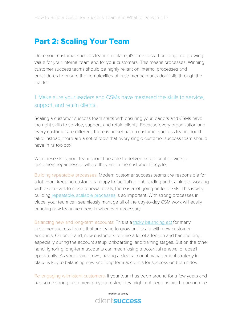### Part 2: Scaling Your Team

Once your customer success team is in place, it's time to start building and growing value for your internal team and for your customers. This means processes. Winning customer success teams should be highly reliant on internal processes and procedures to ensure the complexities of customer accounts don't slip through the cracks.

### 1. Make sure your leaders and CSMs have mastered the skills to service, support, and retain clients.

Scaling a customer success team starts with ensuring your leaders and CSMs have the right skills to service, support, and retain clients. Because every organization and every customer are different, there is no set path a customer success team should take. Instead, there are a set of tools that every single customer success team should have in its toolbox.

With these skills, your team should be able to deliver exceptional service to customers regardless of where they are in the customer lifecycle.

Building repeatable processes: Modern customer success teams are responsible for a lot. From keeping customers happy to facilitating onboarding and training to working with executives to close renewal deals, there is a lot going on for CSMs. This is why building [repeatable, scalable processes](https://www.clientsuccess.com/blog/3-easy-steps-for-building-a-repeatable-and-highly-beneficial-customer-onboarding-process/) is so important. With strong processes in place, your team can seamlessly manage all of the day-to-day CSM work will easily bringing new team members in whenever necessary.

Balancing new and long-term accounts: This is a [tricky balancing act](https://www.clientsuccess.com/blog/jobs-to-be-done-new-customers-vs-current-customers/) for many customer success teams that are trying to grow and scale with new customer accounts. On one hand, new customers require a lot of attention and handholding, especially during the account setup, onboarding, and training stages. But on the other hand, ignoring long-term accounts can mean losing a potential renewal or upsell opportunity. As your team grows, having a clear account management strategy in place is key to balancing new and long-term accounts for success on both sides.

Re-engaging with latent customers: If your team has been around for a few years and has some strong customers on your roster, they might not need as much one-on-one

> brought to you by client success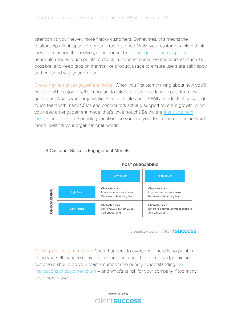attention as your newer, more finicky customers. Sometimes, this means the relationship might lapse into organic radio silence. While your customers might think they can manage themselves, it's important to [re-engage as much as possible.](https://www.clientsuccess.com/blog/5-ways-to-re-engage-when-a-customer-goes-dark/) Schedule regular touch points to check in, connect executive sponsors as much as possible, and keep tabs on metrics like product usage to ensure users are still happy and engaged with your product.

Choosing the right engagement model: When you first start thinking about how you'll engage with customers, it's important to take a big step back and consider a few questions: What's your organization's annual sales price? Will a model that has a high touch team with many CSMs and contributors actually support revenue growth, or will you need an engagement model that's lower touch? Below ar[e 4 engagement](https://www.clientsuccess.com/blog/4-engagement-models-for-customer-success/)  models and the corresponding variations so you and your team can determine which model best fits your organizational needs.



#### 4 Customer Success Engagement Models

brought to you by Clientsuccess

Dealing with customer churn: Churn happens to everyone. There is no point in killing yourself trying to retain every single account. This being said, retaining customers should be your team's number one priority. Un[derstanding](https://www.clientsuccess.com/blog/true-cost-customer-churn-part-1/) the [implications of c](https://www.clientsuccess.com/blog/true-cost-customer-churn-part-1/)ustomer churn – and what's at risk for your company if too many customers leave –

> brought to you by clientsuccess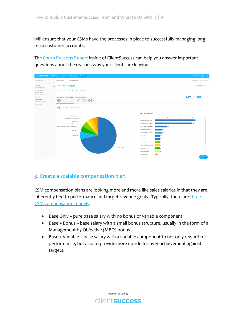will ensure that your CSMs have the processes in place to successfully managing long-term customer accounts.

The [Churn Reasons Report](https://www.clientsuccess.com/product-updates/new-churn-reasons-report/) inside of ClientSuccess can help you answer important questions about the reasons why your clients are leaving.



#### 3. Create a scalable compensation plan.

CSM compensation plans are looking more and more like sales salaries in that they are inherently tied to performance and target revenue goals. Typically, ther[e are](https://www.clientsuccess.com/blog/compensation-plans-for-customer-success-managers/)  three [CSM compensation m](https://www.clientsuccess.com/blog/compensation-plans-for-customer-success-managers/)odels:

- Base Only pure base salary with no bonus or variable component
- Base + Bonus base salary with a small bonus structure, usually in the form of a Management by Objective (MBO) bonus
- Base + Variable base salary with a variable component to not only reward for performance, but also to provide more upside for over-achievement against targets.

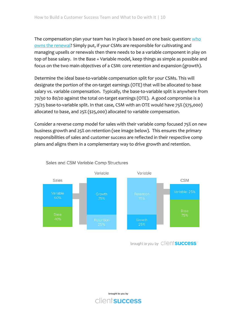The compensation plan your team has in place is based on one basic question: [who](https://www.clientsuccess.com/blog/who-owns-the-renewal-3-ownership-models-to-guide-your-decision/) [owns the renewal?](https://www.clientsuccess.com/blog/who-owns-the-renewal-3-ownership-models-to-guide-your-decision/) Simply put, if your CSMs are responsible for cultivating and managing upsells or renewals then there needs to be a variable component in play on top of base salary. In the Base + Variable model, keep things as simple as possible and focus on the two main objectives of a CSM: core retention and expansion (growth).

Determine the ideal base-to-variable compensation split for your CSMs. This will designate the portion of the on-target earnings (OTE) that will be allocated to base salary vs. variable compensation. Typically, the base-to-variable split is anywhere from 70/30 to 80/20 against the total on-target earnings (OTE). A good compromise is a 75/25 base-to-variable split. In that case, CSM with an OTE would have 75% (\$75,000) allocated to base, and 25% (\$25,000) allocated to variable compensation.

Consider a reverse comp model for sales with their variable comp focused 75% on new business growth and 25% on retention (see image below). This ensures the primary responsibilities of sales and customer success are reflected in their respective comp plans and aligns them in a complementary way to drive growth and [retention.](https://www.clientsuccess.com/blog/compensation-plans-for-customer-success-managers/) 



#### Sales and CSM Variable Comp Structures

brought to you by Client **Success** 

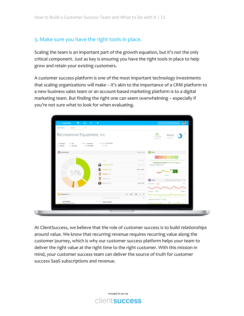### 3. Make sure you have the right tools in place.

Scaling the team is an important part of the growth equation, but it's not the only critical component. Just as key is ensuring you have the right tools in place to help grow and retain your existing customers.

A customer success platform is one of the most important technology investments that scaling organizations will make – it's akin to the importance of a CRM platform to a new business sales team or an account-based marketing platform is to a digital marketing team. But finding the right one can seem overwhelming – especially if you're not sure what to look for when evaluating.



At ClientSuccess, we believe that the role of customer success is to build relationships around value. We know that recurring revenue requires recurring value along the customer journey, which is why our customer success platform helps your team to deliver the right value at the right time to the right customer. With this mission in mind, your customer success team can deliver the source of truth for customer success SaaS subscriptions and revenue.

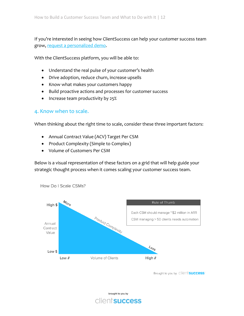If you're interested in seeing how ClientSuccess can help your customer success team [grow, request a personalized d](https://www.clientsuccess.com/#get-started)emo.

With the ClientSuccess platform, you will be able to:

- Understand the real pulse of your customer's health
- Drive adoption, reduce churn, increase upsells
- Know what makes your customers happy
- Build proactive actions and processes for customer success
- Increase team productivity by 25%

#### 4. Know when to scale.

When thinking about the right time to scale, consider these three important factors:

- Annual Contract Value (ACV) Target Per CSM
- Product Complexity (Simple to Complex)
- Volume of Customers Per CSM

Below is a visual representation of these factors on a grid that will help guide your strategic thought process when it comes scaling your customer success team.



How Do I Scale CSMs?

Brought to you by Clientsuccess

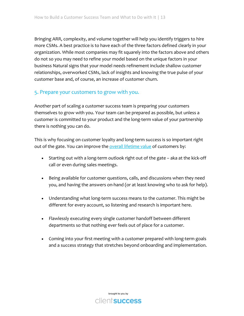Bringing ARR, complexity, and volume together will help you identify triggers to hire more CSMs. A best practice is to have each of the three factors defined clearly in your organization. While most companies may fit squarely into the factors above and others do not so you may need to refine your model based on the unique factors in your business Natural signs that your model needs refinement include shallow customer relationships, overworked CSMs, lack of insights and knowing the true pulse of your customer base and, of course, an increase of customer churn.

### 5. Prepare your customers to grow with you.

Another part of scaling a customer success team is preparing your customers themselves to grow with you. Your team can be prepared as possible, but unless a customer is committed to your product and the long-term value of your partnership there is nothing you can do.

This is why focusing on customer loyalty and long-term success is so important right out of the gate. You can improve the [overall lifetime value](https://www.clientsuccess.com/blog/5-ways-improve-customer-lifetime-value-improving-loyalty/) of customers by:

- Starting out with a long-term outlook right out of the gate aka at the kick-off call or even during sales meetings.
- Being available for customer questions, calls, and discussions when they need you, and having the answers on-hand (or at least knowing who to ask for help).
- Understanding what long-term success means to the customer. This might be different for every account, so listening and research is important here.
- Flawlessly executing every single customer handoff between different departments so that nothing ever feels out of place for a customer.
- Coming into your first meeting with a customer prepared with long-term goals and a success strategy that stretches beyond onboarding and implementation.

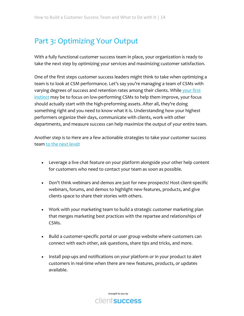## Part 3: Optimizing Your Output

With a fully functional customer success team in place, your organization is ready to take the next step by optimizing your services and maximizing customer satisfaction.

One of the first steps customer success leaders might think to take when optimizing a team is to look at CSM performance. Let's say you're managing a team of CSMs with varying degrees of success and retention rates among their clients. While [your first](https://www.clientsuccess.com/blog/new-way-to-improve-your-csm-team-performance/)  [instinct](https://www.clientsuccess.com/blog/new-way-to-improve-your-csm-team-performance/) may be to focus on low-performing CSMs to help them improve, your focus should actually start with the high-preforming assets. After all, they're doing something right and you need to know what it is. Understanding how your highest performers organize their days, communicate with clients, work with other departments, and measure success can help maximize the output of your entire team.

Another step is to Here are a few actionable strategies to take your customer success team [to the next level:](https://www.clientsuccess.com/blog/6-customer-retention-strategies-stay/)

- Leverage a live chat feature on your platform alongside your other help content for customers who need to contact your team as soon as possible.
- Don't think webinars and demos are just for new prospects! Host client-specific webinars, forums, and demos to highlight new features, products, and give clients space to share their stories with others.
- Work with your marketing team to build a strategic customer marketing plan that merges marketing best practices with the repartee and relationships of CSMs.
- Build a customer-specific portal or user group website where customers can connect with each other, ask questions, share tips and tricks, and more.
- Install pop-ups and notifications on your platform or in your product to alert customers in real-time when there are new features, products, or updates available.

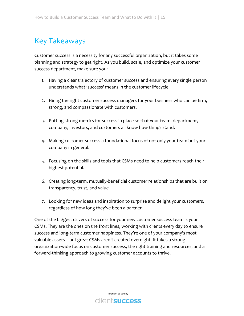# Key Takeaways

Customer success is a necessity for any successful organization, but it takes some planning and strategy to get right. As you build, scale, and optimize your customer success department, make sure you:

- 1. Having a clear trajectory of customer success and ensuring every single person understands what 'success' means in the customer lifecycle.
- 2. Hiring the right customer success managers for your business who can be firm, strong, and compassionate with customers.
- 3. Putting strong metrics for success in place so that your team, department, company, investors, and customers all know how things stand.
- 4. Making customer success a foundational focus of not only your team but your company in general.
- 5. Focusing on the skills and tools that CSMs need to help customers reach their highest potential.
- 6. Creating long-term, mutually-beneficial customer relationships that are built on transparency, trust, and value.
- 7. Looking for new ideas and inspiration to surprise and delight your customers, regardless of how long they've been a partner.

One of the biggest drivers of success for your new customer success team is your CSMs. They are the ones on the front lines, working with clients every day to ensure success and long-term customer happiness. They're one of your company's most valuable assets – but great CSMs aren't created overnight. It takes a strong organization-wide focus on customer success, the right training and resources, and a forward-thinking approach to growing customer accounts to thrive.